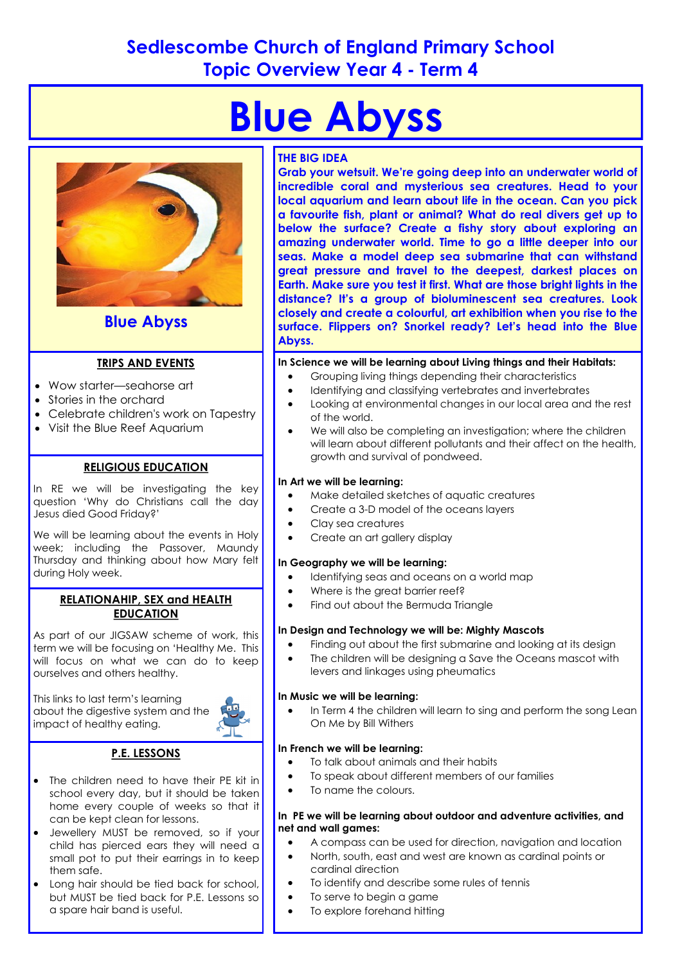## **Sedlescombe Church of England Primary School Topic Overview Year 4 - Term 4**

# **Blue Abyss**



### **Blue Abyss**

#### **TRIPS AND EVENTS**

- Wow starter—seahorse art
- Stories in the orchard
- Celebrate children's work on Tapestry
- Visit the Blue Reef Aquarium

#### **RELIGIOUS EDUCATION**

In RE we will be investigating the key question 'Why do Christians call the day Jesus died Good Friday?'

We will be learning about the events in Holy week; including the Passover, Maundy Thursday and thinking about how Mary felt during Holy week.

#### **RELATIONAHIP, SEX and HEALTH EDUCATION**

As part of our JIGSAW scheme of work, this term we will be focusing on 'Healthy Me. This will focus on what we can do to keep ourselves and others healthy.

This links to last term's learning about the digestive system and the impact of healthy eating.



- **P.E. LESSONS**
- The children need to have their PE kit in school every day, but it should be taken home every couple of weeks so that it can be kept clean for lessons.
- Jewellery MUST be removed, so if your child has pierced ears they will need a small pot to put their earrings in to keep them safe.
- Long hair should be tied back for school, but MUST be tied back for P.E. Lessons so a spare hair band is useful.

#### **THE BIG IDEA**

**Grab your wetsuit. We're going deep into an underwater world of incredible coral and mysterious sea creatures. Head to your local aquarium and learn about life in the ocean. Can you pick a favourite fish, plant or animal? What do real divers get up to below the surface? Create a fishy story about exploring an amazing underwater world. Time to go a little deeper into our seas. Make a model deep sea submarine that can withstand great pressure and travel to the deepest, darkest places on Earth. Make sure you test it first. What are those bright lights in the distance? It's a group of bioluminescent sea creatures. Look closely and create a colourful, art exhibition when you rise to the surface. Flippers on? Snorkel ready? Let's head into the Blue Abyss.** 

**In Science we will be learning about Living things and their Habitats:**

- Grouping living things depending their characteristics
- Identifying and classifying vertebrates and invertebrates
- Looking at environmental changes in our local area and the rest of the world.
- We will also be completing an investigation; where the children will learn about different pollutants and their affect on the health, growth and survival of pondweed.

#### **In Art we will be learning:**

- Make detailed sketches of aquatic creatures
- Create a 3-D model of the oceans layers
- Clay sea creatures
- Create an art gallery display

#### **In Geography we will be learning:**

- Identifying seas and oceans on a world map
- Where is the great barrier reef?
- Find out about the Bermuda Triangle

#### **In Design and Technology we will be: Mighty Mascots**

- Finding out about the first submarine and looking at its design
- The children will be designing a Save the Oceans mascot with levers and linkages using pheumatics

#### **In Music we will be learning:**

In Term 4 the children will learn to sing and perform the song Lean On Me by Bill Withers

#### **In French we will be learning:**

- To talk about animals and their habits
- To speak about different members of our families
- To name the colours.

#### **In PE we will be learning about outdoor and adventure activities, and net and wall games:**

- A compass can be used for direction, navigation and location
- North, south, east and west are known as cardinal points or cardinal direction
- To identify and describe some rules of tennis
- To serve to begin a game
- To explore forehand hitting